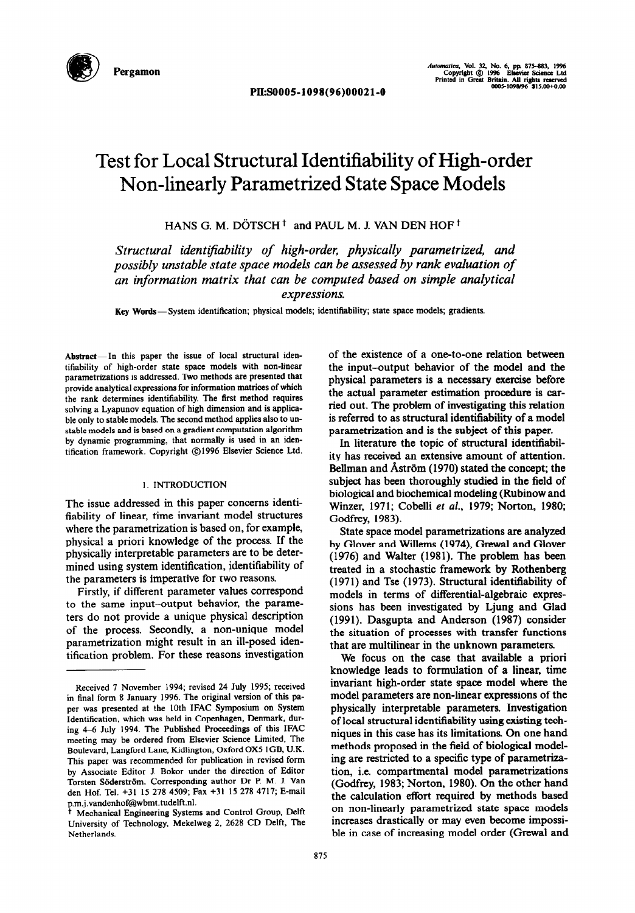

Pergamon

PIkSOOO5-1098(96)00021-O

Auromatica, Vol. 32, No. 6, pp. 875-883, 1996<br>
Copyright **@ 1996 Elsevier Science Ltd**<br>
Printed in Great Britain. All rights reserved<br>
0005-1098/96 \$15.00+0.00

# Test for Local Structural Identifiability of High-order Non-linearly Parametrized State Space Models

HANS G. M. DÖTSCH<sup>+</sup> and PAUL M. J. VAN DEN HOF<sup>+</sup>

*Structural identifiability of high-order, physically parametrized, and possibly unstable state space models can be assessed by rank evaluation of an information matrix that can be computed based on simple analytical expressions.* 

Key Words-System identification; physical models; identifiability; state space models; gradients.

Abstract-In this paper the issue of local structural identifiability of high-order state space models with non-linear parametrizations is addressed. Two methods are presented that provide analytical expressions for information matrices of which the rank determines identifiability. The first method requires solving a Lyapunov equation of high dimension and is applicable only to stable models. The second method applies also to unstable models and is based on a gradient computation algorithm by dynamic programming, that normally is used in an identification framework. Copyright ©1996 Elsevier Science Ltd.

# 1. INTRODUCTION

The issue addressed in this paper concerns identifiability of linear, time invariant model structures where the parametrization is based on, for example, physical a priori knowledge of the process. If the physically interpretable parameters are to be determined using system identification, identifiability of the parameters is imperative for two reasons.

Firstly, if different parameter values correspond to the same input-output behavior, the parameters do not provide a unique physical description of the process. Secondly, a non-unique model parametrization might result in an ill-posed identification problem. For these reasons investigation of the existence of a one-to-one relation between the input-output behavior of the model and the physical parameters is a necessary exercise before the actual parameter estimation procedure is carried out. The problem of investigating this relation is referred to as structural identifiability of a model parametrization and is the subject of this paper.

In literature the topic of structural identifiability has received an extensive amount of attention. Bellman and Aström (1970) stated the concept; the subject has been thoroughly studied in the field of biological and biochemical modeling (Rubinow and Winzer, 1971; Cobelli et al., 1979; Norton, 1980; Godfrey, 1983).

State space model parametrizations are analyzed by Glover and Willems (1974), Grewal and Glover (1976) and Walter (1981). The problem has been treated in a stochastic framework by Rothenberg (1971) and Tse (1973). Structural identifiability of models in terms of differential-algebraic expressions has been investigated by Ljung and Glad (1991). Dasgupta and Anderson (1987) consider the situation of processes with transfer functions that are multilinear in the unknown parameters.

We focus on the case that available a priori knowledge leads to formulation of a linear, time invariant high-order state space model where the model parameters are non-linear expressions of the physically interpretable parameters. Investigation of local structural identifiability using existing techniques in this case has its limitations On one hand methods proposed in the field of biological modeling are restricted to a specific type of parametrization, i.e. compartmental model parametrizations (Godfrey, 1983; Norton, 1980). On the other hand the calculation effort required by methods based on non-linearly parametrized state space models increases drastically or may even become impossible in case of increasing model order (Grewal and

Received 7 November 1994; revised 24 July 1995; received in final form 8 January 1996. The original version of this paper was presented at the 10th IFAC Symposium on System Identification, which was held in Copenhagen, Denmark, during 4-6 July 1994. The Published Proceedings of this IFAC meeting may be ordered from Elsevier Science Limited, The Boulevard, Langford Lane, Kidlington, Oxford OX5 1GB, U.K. This paper was recommended for publication in revised form by Associate Editor J. Bokor under the direction of Editor Torsten Söderström. Corresponding author Dr P. M. J. Van den Hof. Tel. +31 15 278 4509; Fax +31 15 278 4717; E-mail p.m.j.vandenhof@wbmt.tudelft.nl.

Mechanical Engineering Systems and Control Group, Delft University of Technology, Mekelweg 2, 2628 CD Delft, The Netherlands.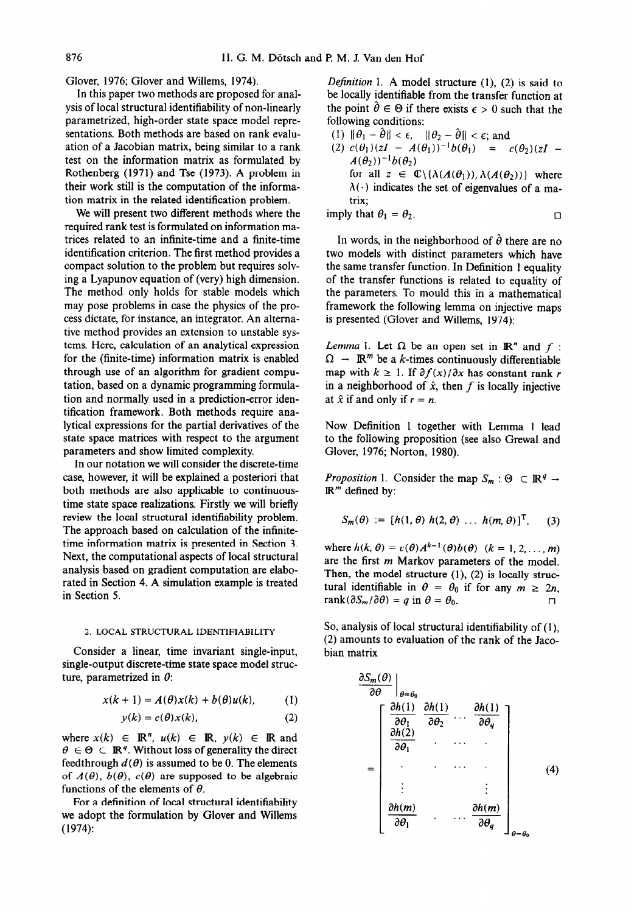Glover, 1976; Glover and Willems, 1974).

In this paper two methods are proposed for analysis of local structural identifiability of non-linearly parametrized, high-order state space model representations. Both methods are based on rank evaluation of a Jacobian matrix, being similar to a rank test on the information matrix as formulated by Rothenberg (1971) and Tse (1973). A problem in their work still is the computation of the information matrix in the related identification problem.

We will present two different methods where the required rank test is formulated on information matrices related to an infinite-time and a finite-time identification criterion. The first method provides a compact solution to the problem but requires solving a Lyapunov equation of (very) high dimension. The method only holds for stable models which may pose problems in case the physics of the process dictate, for instance, an integrator. An alternative method provides an extension to unstable systems. Here, calculation of an analytical expression for the (finite-time) information matrix is enabled through use of an algorithm for gradient computation, based on a dynamic programming formulation and normally used in a prediction-error identification framework. Both methods require analytical expressions for the partial derivatives of the state space matrices with respect to the argument parameters and show limited complexity.

In our notation we will consider the discrete-time case, however, it will be explained a posteriori that both methods are also applicable to continuoustime state space realizations. Firstly we will briefly review the local structural identifiability problem. The approach based on calculation of the infinitetime information matrix is presented in Section 3. Next, the computational aspects of local structural analysis based on gradient computation are elaborated in Section 4. A simulation example is treated in Section 5.

#### 2. LOCAL STRUCTURAL IDENTIFIABILITY

Consider a linear, time invariant single-input, single-output discrete-time state space model structure, parametrized in  $\theta$ :

$$
x(k+1) = A(\theta)x(k) + b(\theta)u(k), \qquad (1)
$$

$$
y(k) = c(\theta)x(k), \tag{2}
$$

where  $x(k) \in \mathbb{R}^n$ ,  $u(k) \in \mathbb{R}$ ,  $y(k) \in \mathbb{R}$  and  $\theta \in \Theta \subset \mathbb{R}^q$ . Without loss of generality the direct feedthrough  $d(\theta)$  is assumed to be 0. The elements of  $A(\theta)$ ,  $b(\theta)$ ,  $c(\theta)$  are supposed to be algebraic functions of the elements of  $\theta$ .

For a definition of local structural identifiability we adopt the formulation by Glover and Willems (1974):

*Definition* 1. A model structure (l), (2) is said to be locally identifiable from the transfer function at the point  $\hat{\theta} \in \Theta$  if there exists  $\epsilon > 0$  such that the following conditions:

- (1)  $\|\theta_1 \hat{\theta}\| < \epsilon$ ,  $\|\theta_2 \hat{\theta}\| < \epsilon$ ; and
- (2)  $c(\theta_1)(zI A(\theta_1))^{-1}b(\theta_1) = c(\theta_2)(zI A(\theta_2))^{-1}b(\theta_2)$ for all  $z \in \mathbb{C} \backslash {\lbrace \lambda(A(\theta_1)), \lambda(A(\theta_2)) \rbrace}$  where  $\lambda(\cdot)$  indicates the set of eigenvalues of a matrix;

$$
imply that \theta_1 = \theta_2. \qquad \qquad \Box
$$

In words, in the neighborhood of  $\hat{\theta}$  there are no two models with distinct parameters which have the same transfer function. In Definition 1 equality of the transfer functions is related to equality of the parameters. To mould this in a mathematical framework the following lemma on injective maps is presented (Glover and Willems, 1974):

*Lemma* 1. Let  $\Omega$  be an open set in  $\mathbb{R}^n$  and f :  $\Omega$   $\rightarrow$   $\mathbb{R}^m$  be a k-times continuously differentiable map with  $k \ge 1$ . If  $\partial f(x)/\partial x$  has constant rank *r* in a neighborhood of  $\hat{x}$ , then f is locally injective at  $\hat{x}$  if and only if  $r = n$ .

*Now* Definition 1 together with Lemma 1 lead to the following proposition (see also Grewal and Glover, 1976; Norton, 1980).

*Proposition* 1. Consider the map  $S_m : \Theta \subset \mathbb{R}^q$  $\mathbb{R}^m$  defined by:

$$
S_m(\theta) := [h(1, \theta) h(2, \theta) \dots h(m, \theta)]^{\mathrm{T}}, \quad (3)
$$

where  $h(k, \theta) = c(\theta) A^{k-1}(\theta) b(\theta)$   $(k = 1, 2, ..., m)$ are the first *m* Markov parameters of the model. Then, the model structure  $(1)$ ,  $(2)$  is locally structural identifiable in  $\theta = \theta_0$  if for any  $m \ge 2n$ ,  $rank(\partial S_m/\partial \theta) = q$  in  $\theta = \theta_0$ .

So, analysis of local structural identifiability of (l), (2) amounts to evaluation of the rank of the Jacobian matrix

$$
\frac{\partial S_m(\theta)}{\partial \theta}\Big|_{\theta=\theta_0}
$$
\n
$$
= \begin{bmatrix}\n\frac{\partial h(1)}{\partial \theta_1} & \frac{\partial h(1)}{\partial \theta_2} & \cdots & \frac{\partial h(1)}{\partial \theta_q} \\
\frac{\partial h(2)}{\partial \theta_1} & \cdots & \frac{\partial h(m)}{\partial \theta_q} \\
\vdots & \vdots & \ddots & \vdots \\
\frac{\partial h(m)}{\partial \theta_1} & \cdots & \frac{\partial h(m)}{\partial \theta_q}\n\end{bmatrix}_{\theta=\theta_0}
$$
\n(4)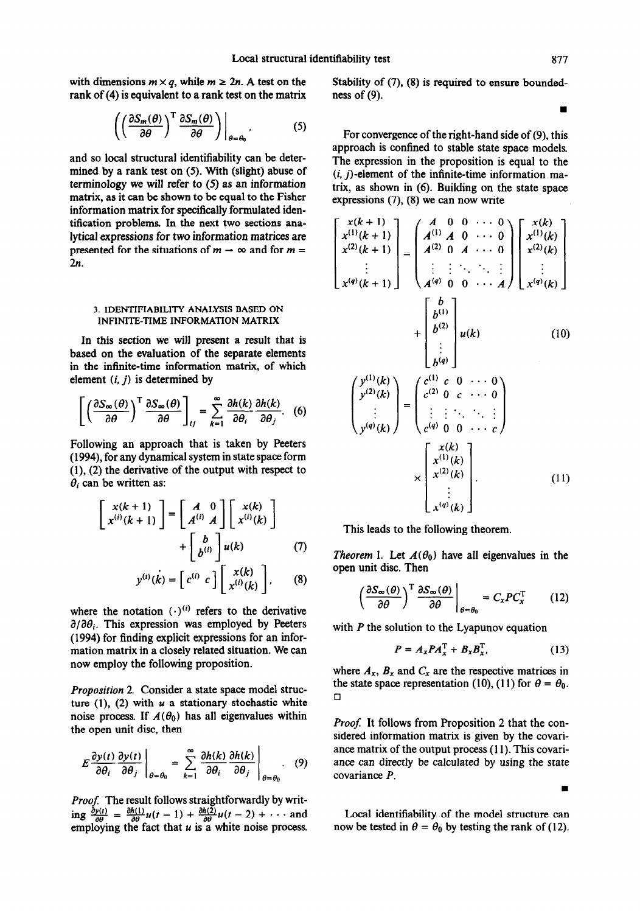with dimensions  $m \times q$ , while  $m \ge 2n$ . A test on the rank of (4) is equivalent to a rank test on the matrix

$$
\left( \left( \frac{\partial S_m(\theta)}{\partial \theta} \right)^{\mathrm{T}} \frac{\partial S_m(\theta)}{\partial \theta} \right) \Big|_{\theta = \theta_0}, \tag{5}
$$

and so local structural identifiability can be determined by a rank test on (5). With (slight) abuse of terminology we will refer to (5) as an information matrix, as it can be shown to be equal to the Fisher information matrix for specifically formulated identification problems. In the next two sections analytical expressions for two information matrices are presented for the situations of  $m \to \infty$  and for  $m =$ *2n.* 

## 3. IDENTIFIABILITY ANALYSIS BASED ON INFINITE-TIME INFORMATION MATRIX

In this section we will present a result that is based on the evaluation of the separate elements in the infinite-time information matrix, of which element  $(i, j)$  is determined by

$$
\left[\left(\frac{\partial S_{\infty}(\theta)}{\partial \theta}\right)^{T} \frac{\partial S_{\infty}(\theta)}{\partial \theta}\right]_{ij} = \sum_{k=1}^{\infty} \frac{\partial h(k)}{\partial \theta_{i}} \frac{\partial h(k)}{\partial \theta_{j}}.
$$
 (6)

Following an approach that is taken by Peeters (1994), for any dynamical system in state space form (1), (2) the derivative of the output with respect to  $\theta_i$  can be written as:

$$
\begin{bmatrix} x(k+1) \\ x^{(i)}(k+1) \end{bmatrix} = \begin{bmatrix} A & 0 \\ A^{(i)} & A \end{bmatrix} \begin{bmatrix} x(k) \\ x^{(i)}(k) \end{bmatrix} + \begin{bmatrix} b \\ b^{(i)} \end{bmatrix} u(k) \qquad (7)
$$

$$
y^{(i)}(k) = \begin{bmatrix} c^{(i)} & 1 \\ x^{(i)} & (k) \end{bmatrix} \begin{bmatrix} x(k) \\ x^{(i)}(k) \end{bmatrix}, \qquad (8)
$$

where the notation  $(\cdot)^{(i)}$  refers to the derivative  $\partial/\partial\theta_i$ . This expression was employed by Peeters (1994) for finding explicit expressions for an information matrix in a closely related situation. We can now employ the following proposition.

*Proposition 2.* Consider a state space model structure  $(1)$ ,  $(2)$  with u a stationary stochastic white noise process. If  $A(\theta_0)$  has all eigenvalues within the open unit disc, then

$$
E\frac{\partial y(t)}{\partial \theta_i}\frac{\partial y(t)}{\partial \theta_j}\bigg|_{\theta=\theta_0}=\sum_{k=1}^{\infty}\frac{\partial h(k)}{\partial \theta_i}\frac{\partial h(k)}{\partial \theta_j}\bigg|_{\theta=\theta_0}.\quad (9)
$$

*Proof:* The result follows straightforwardly by writing  $\frac{\partial y(t)}{\partial \theta} = \frac{\partial h(1)}{\partial \theta} u(t-1) + \frac{\partial h(2)}{\partial \theta} u(t-2) + \cdots$  and employing the fact that  $u$  is a white noise process.

Stability of (7), (8) is required to ensure boundedness of (9).

n

For convergence of the right-hand side of (9), this approach is confined to stable state space models. The expression in the proposition is equal to the  $(i, j)$ -element of the infinite-time information matrix, as shown in (6). Building on the state space expressions (7), (8) we can now write

$$
\begin{bmatrix}\nx(k+1) \\
x^{(1)}(k+1) \\
x^{(2)}(k+1) \\
\vdots \\
x^{(q)}(k+1)\n\end{bmatrix} = \begin{pmatrix}\nA & 0 & 0 & \cdots & 0 \\
A^{(1)} & A & 0 & \cdots & 0 \\
A^{(2)} & 0 & A & \cdots & 0 \\
\vdots & \vdots & \ddots & \ddots & \vdots \\
A^{(q)} & 0 & 0 & \cdots & A\n\end{pmatrix} \begin{bmatrix}\nx(k) \\
x^{(1)}(k) \\
x^{(2)}(k) \\
\vdots \\
x^{(q)}(k)\n\end{bmatrix} + \begin{bmatrix}\nb \\
b^{(1)} \\
b^{(2)} \\
\vdots \\
b^{(q)}\n\end{bmatrix} u(k) \qquad (10)
$$
\n
$$
\begin{pmatrix}\ny^{(1)}(k) \\
y^{(2)}(k) \\
\vdots \\
y^{(q)}(k)\n\end{pmatrix} = \begin{pmatrix}\nc^{(1)} & c & 0 & \cdots & 0 \\
c^{(2)} & 0 & c & \cdots & 0 \\
\vdots & \vdots & \ddots & \ddots & \vdots \\
c^{(q)} & 0 & 0 & \cdots & c\n\end{pmatrix} \times \begin{bmatrix}\nx(k) \\
x^{(1)}(k) \\
x^{(2)}(k) \\
\vdots \\
x^{(q)}(k)\n\end{bmatrix} \times (11)
$$

This leads to the following theorem.

*Theorem 1.* Let  $A(\theta_0)$  have all eigenvalues in the open unit disc. Then

$$
\left(\frac{\partial S_{\infty}(\theta)}{\partial \theta}\right)^{\mathrm{T}} \left.\frac{\partial S_{\infty}(\theta)}{\partial \theta}\right|_{\theta=\theta_0} = C_x P C_x^{\mathrm{T}} \qquad (12)
$$

with *P* the solution to the Lyapunov equation

$$
P = A_x P A_x^{\mathrm{T}} + B_x B_x^{\mathrm{T}}, \qquad (13)
$$

where  $A_x$ ,  $B_x$  and  $C_x$  are the respective matrices in the state space representation (10), (11) for  $\theta = \theta_0$ .  $\Box$ 

*Proof:* It follows from Proposition 2 that the considered information matrix is given by the covariance matrix of the output process (11). This covariance can directly be calculated by using the state covariance *P.* 

Local identifiability of the model structure can now be tested in  $\theta = \theta_0$  by testing the rank of (12).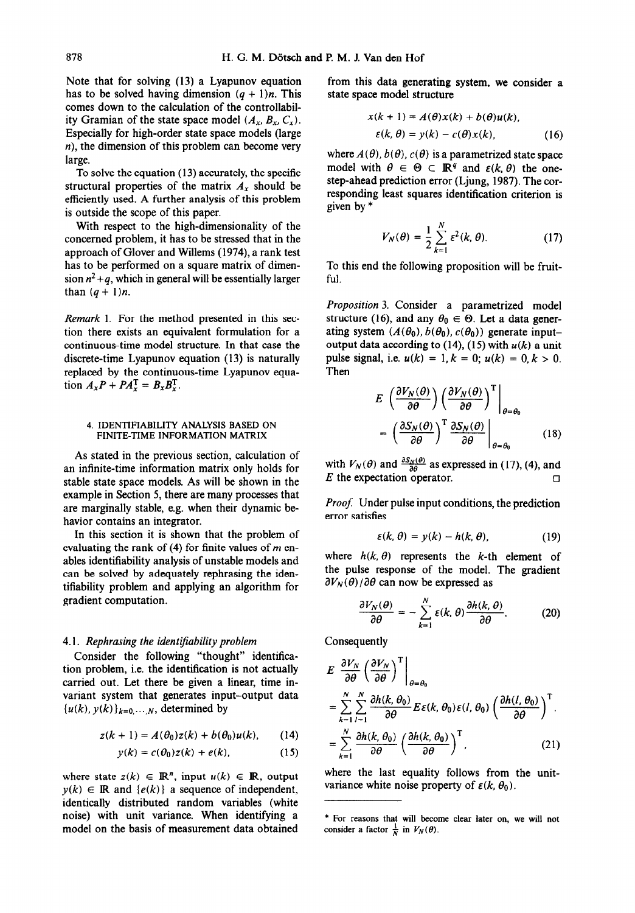Note that for solving (13) a Lyapunov equation has to be solved having dimension  $(q + 1)n$ . This comes down to the calculation of the controllability Gramian of the state space model  $(A_x, B_x, C_x)$ . Especially for high-order state space models (large  $n$ ), the dimension of this problem can become very large.

To solve the equation (13) accurately, the specific structural properties of the matrix  $A_x$  should be efficiently used. A further analysis of this problem is outside the scope of this paper.

With respect to the high-dimensionality of the concerned problem, it has to be stressed that in the approach of Glover and Willems (1974), a rank test has to be performed on a square matrix of dimension  $n^2 + q$ , which in general will be essentially larger than  $(q+1)n$ .

*Remark* 1. For the method presented in this section there exists an equivalent formulation for a continuous-time model structure. In that case the discrete-time Lyapunov equation (13) is naturally replaced by the continuous-time Lyapunov equation  $A_x P + P A_x^T = B_x B_x^T$ .

## 4. IDENTIFIABILITY ANALYSIS BASED ON FINITE-TIME INFORMATION MATRIX

As stated in the previous section, calculation of an infinite-time information matrix only holds for stable state space models. As will be shown in the example in Section 5, there are many processes that are marginally stable, e.g. when their dynamic behavior contains an integrator.

In this section it is shown that the problem of evaluating the rank of (4) for finite values of *m* enables identifiability analysis of unstable models and can be solved by adequately rephrasing the identifiability problem and applying an algorithm for gradient computation.

# 4.1. *Rephrasing the identifiability problem* Consequently

Consider the following "thought" identification problem, i.e. the identification is not actually carried out. Let there be given a linear, time invariant system that generates input-output data  $\{u(k), v(k)\}_{k=0}^{\infty}$ ... *N*, determined by

$$
z(k+1) = A(\theta_0)z(k) + b(\theta_0)u(k), \qquad (14)
$$

$$
y(k) = c(\theta_0)z(k) + e(k), \qquad (15)
$$

where state  $z(k) \in \mathbb{R}^n$ , input  $u(k) \in \mathbb{R}$ , output  $y(k) \in \mathbb{R}$  and  $\{e(k)\}\$ a sequence of independent, identically distributed random variables (white noise) with unit variance. When identifying a model on the basis of measurement data obtained from this data generating system, we consider a state space model structure

$$
x(k + 1) = A(\theta)x(k) + b(\theta)u(k),
$$
  
\n
$$
\varepsilon(k, \theta) = y(k) - c(\theta)x(k),
$$
 (16)

where  $A(\theta)$ ,  $b(\theta)$ ,  $c(\theta)$  is a parametrized state space model with  $\theta \in \Theta \subset \mathbb{R}^q$  and  $\varepsilon(k, \theta)$  the onestep-ahead prediction error (Ljung, 1987). The corresponding least squares identification criterion is given by \*

$$
V_N(\theta) = \frac{1}{2} \sum_{k=1}^N \varepsilon^2(k, \theta). \tag{17}
$$

To this end the following proposition will be fruitful.

*Proposition 3.* Consider a parametrized model structure (16), and any  $\theta_0 \in \Theta$ . Let a data generating system  $(A(\theta_0), b(\theta_0), c(\theta_0))$  generate inputoutput data according to  $(14)$ ,  $(15)$  with  $u(k)$  a unit pulse signal, i.e.  $u(k) = 1, k = 0; u(k) = 0, k > 0$ . Then

$$
E\left(\frac{\partial V_N(\theta)}{\partial \theta}\right) \left(\frac{\partial V_N(\theta)}{\partial \theta}\right)^{\mathrm{T}}\Big|_{\theta=\theta_0}
$$

$$
= \left(\frac{\partial S_N(\theta)}{\partial \theta}\right)^{\mathrm{T}} \frac{\partial S_N(\theta)}{\partial \theta}\Big|_{\theta=\theta_0} \tag{18}
$$

with  $V_N(\theta)$  and  $\frac{\partial S_N(\theta)}{\partial \theta}$  as expressed in (17), (4), and *E* the expectation operator.

*Proof:* Under pulse input conditions, the prediction error satisfies

$$
\varepsilon(k,\,\theta)=y(k)-h(k,\,\theta),\qquad \qquad (19)
$$

where  $h(k, \theta)$  represents the k-th element of the pulse response of the model. The gradient  $\partial V_N(\theta)/\partial \theta$  can now be expressed as

$$
\frac{\partial V_N(\theta)}{\partial \theta} = -\sum_{k=1}^N \varepsilon(k, \theta) \frac{\partial h(k, \theta)}{\partial \theta}.
$$
 (20)

$$
E \frac{\partial V_N}{\partial \theta} \left( \frac{\partial V_N}{\partial \theta} \right)^T \Big|_{\theta = \theta_0}
$$
  
= 
$$
\sum_{k=1}^N \sum_{l=1}^N \frac{\partial h(k, \theta_0)}{\partial \theta} E \varepsilon(k, \theta_0) \varepsilon(l, \theta_0) \left( \frac{\partial h(l, \theta_0)}{\partial \theta} \right)^T
$$
  
= 
$$
\sum_{k=1}^N \frac{\partial h(k, \theta_0)}{\partial \theta} \left( \frac{\partial h(k, \theta_0)}{\partial \theta} \right)^T
$$
, (21)

where the last equality follows from the unitvariance white noise property of  $\varepsilon(k, \theta_0)$ .

*<sup>\*</sup>* For reasons that will become clear later on, we will not consider a factor  $\frac{1}{N}$  in  $V_N(\theta)$ .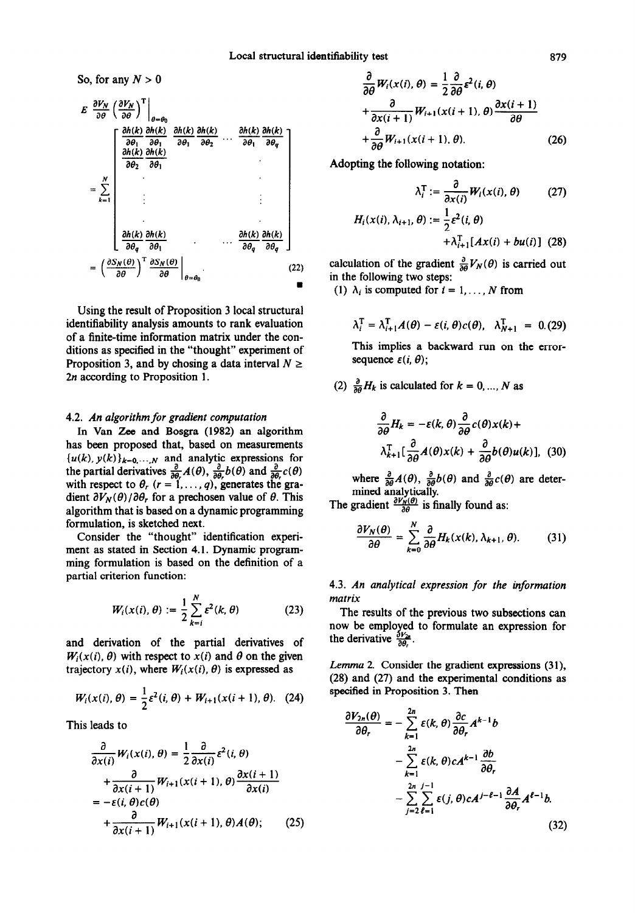So, for any 
$$
N > 0
$$
  
\n
$$
E \frac{\partial V_N}{\partial \theta} \left( \frac{\partial V_N}{\partial \theta} \right)^T \Big|_{\theta = \theta_0}
$$
\n
$$
= \sum_{k=1}^N \begin{bmatrix} \frac{\partial h(k)}{\partial \theta_1} \frac{\partial h(k)}{\partial \theta_1} & \frac{\partial h(k)}{\partial \theta_1} \frac{\partial h(k)}{\partial \theta_2} & \cdots & \frac{\partial h(k)}{\partial \theta_1} \frac{\partial h(k)}{\partial \theta_q} \\ \frac{\partial h(k)}{\partial \theta_2} & \frac{\partial h(k)}{\partial \theta_1} & \cdots & \frac{\partial h(k)}{\partial \theta_q} \frac{\partial h(k)}{\partial \theta_q} \end{bmatrix}
$$
\n
$$
= \left( \frac{\partial S_N(\theta)}{\partial \theta} \right)^T \frac{\partial S_N(\theta)}{\partial \theta} \Big|_{\theta = \theta_0}
$$
\n(22)

Using the result of Proposition 3 local structural identifiability analysis amounts to rank evaluation of a finite-time information matrix under the conditions as specified in the "thought" experiment of Proposition 3, and by chosing a data interval  $N \geq$ 2n according to Proposition 1.

# 4.2. *An algorithm for gradient computation*

In Van Zee and Bosgra (1982) an algorithm has been proposed that, based on measurements  ${u(k), y(k)}_{k=0,\dots,N}$  and analytic expressions for the partial derivatives  $\frac{\partial}{\partial \theta}A(\theta)$ ,  $\frac{\partial}{\partial \theta}b(\theta)$  and  $\frac{\partial}{\partial \theta}c(\theta)$ with respect to  $\theta_r$  ( $r = 1, \ldots, q$ ), generates the gradient  $\partial V_N(\theta) / \partial \theta_r$  for a prechosen value of  $\theta$ . This algorithm that is based on a dynamic programming formulation, is sketched next.

Consider the "thought" identification experiment as stated in Section 4.1. Dynamic programming formulation is based on the definition of a partial criterion function:

$$
W_i(x(i), \theta) := \frac{1}{2} \sum_{k=i}^{N} \varepsilon^2(k, \theta)
$$
 (23)

and derivation of the partial derivatives of  $W_i(x(i), \theta)$  with respect to  $x(i)$  and  $\theta$  on the given trajectory  $x(i)$ , where  $W_i(x(i), \theta)$  is expressed as

$$
W_i(x(i), \theta) = \frac{1}{2} \varepsilon^2(i, \theta) + W_{i+1}(x(i+1), \theta). \quad (24)
$$

This leads to

$$
\frac{\partial}{\partial x(i)} W_i(x(i), \theta) = \frac{1}{2} \frac{\partial}{\partial x(i)} \varepsilon^2(i, \theta) \n+ \frac{\partial}{\partial x(i+1)} W_{i+1}(x(i+1), \theta) \frac{\partial x(i+1)}{\partial x(i)} \n= -\varepsilon(i, \theta)c(\theta) \n+ \frac{\partial}{\partial x(i+1)} W_{i+1}(x(i+1), \theta) A(\theta); \qquad (25)
$$

$$
\frac{\partial}{\partial \theta} W_i(x(i), \theta) = \frac{1}{2} \frac{\partial}{\partial \theta} \varepsilon^2(i, \theta)
$$
  
+ 
$$
\frac{\partial}{\partial x(i+1)} W_{i+1}(x(i+1), \theta) \frac{\partial x(i+1)}{\partial \theta}
$$
  
+ 
$$
\frac{\partial}{\partial \theta} W_{i+1}(x(i+1), \theta).
$$
 (26)

Adopting the following notation:

$$
\lambda_i^{\mathrm{T}} := \frac{\partial}{\partial x(i)} W_i(x(i), \theta) \qquad (27)
$$

$$
H_i(x(i), \lambda_{i+1}, \theta) := \frac{1}{2} \varepsilon^2(i, \theta) + \lambda_{i+1}^{\mathrm{T}} [A x(i) + b u(i)] \tag{28}
$$

calculation of the gradient  $\frac{\partial}{\partial \theta}V_N(\theta)$  is carried out in the following two steps:

(1)  $\lambda_i$  is computed for  $i = 1, \ldots, N$  from

$$
\lambda_i^{\mathrm{T}} = \lambda_{i+1}^{\mathrm{T}} A(\theta) - \varepsilon(i, \theta) c(\theta), \quad \lambda_{N+1}^{\mathrm{T}} = 0. (29)
$$

This implies a backward run on the errorsequence  $\varepsilon(i, \theta)$ ;

(2)  $\frac{\partial}{\partial \theta}H_k$  is calculated for  $k = 0, ..., N$  as

$$
\frac{\partial}{\partial \theta} H_k = -\varepsilon(k, \theta) \frac{\partial}{\partial \theta} c(\theta) x(k) +
$$

$$
\lambda_{k+1}^{\text{T}} \left[ \frac{\partial}{\partial \theta} A(\theta) x(k) + \frac{\partial}{\partial \theta} b(\theta) u(k) \right], (30)
$$

where  $\frac{\partial}{\partial \theta}A(\theta)$ ,  $\frac{\partial}{\partial \theta}b(\theta)$  and  $\frac{\partial}{\partial \theta}c(\theta)$  are deter mined analytically.

The gradient  $\frac{\partial V_N(\theta)}{\partial \theta}$  is finally found as:

$$
\frac{\partial V_N(\theta)}{\partial \theta} = \sum_{k=0}^N \frac{\partial}{\partial \theta} H_k(x(k), \lambda_{k+1}, \theta).
$$
 (31)

*4.3. An analytical expression for the information matrix* 

The results of the previous two subsections can now be employed to formulate an expression for the derivative  $\frac{\delta V}{\delta \theta}$ 

*Lemma 2.* Consider the gradient expressions (31), (28) and (27) and the experimental conditions as specified in Proposition 3. Then

$$
\frac{\partial V_{2n}(\theta)}{\partial \theta_r} = -\sum_{k=1}^{2n} \varepsilon(k, \theta) \frac{\partial c}{\partial \theta_r} A^{k-1} b
$$
  

$$
-\sum_{k=1}^{2n} \varepsilon(k, \theta) c A^{k-1} \frac{\partial b}{\partial \theta_r}
$$
  

$$
-\sum_{j=2}^{2n} \sum_{\ell=1}^{j-1} \varepsilon(j, \theta) c A^{j-\ell-1} \frac{\partial A}{\partial \theta_r} A^{\ell-1} b.
$$
(32)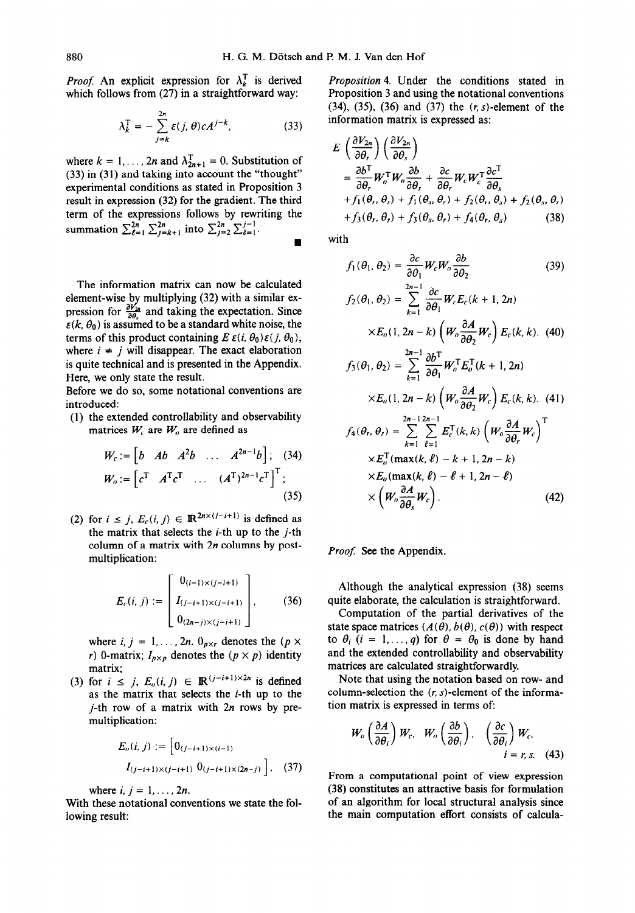*Proof.* An explicit expression for  $\lambda_k^T$  is derived which follows from  $(27)$  in a straightforward way:

$$
\lambda_k^{\mathrm{T}} = -\sum_{j=k}^{2n} \varepsilon(j,\theta) c A^{j-k}, \tag{33}
$$

where  $k = 1, \ldots, 2n$  and  $\lambda_{2n+1}^T = 0$ . Substitution of (33) in (31) and taking into account the "thought" experimental conditions as stated in Proposition 3 result in expression (32) for the gradient. The third term of the expressions follows by rewriting the summation  $\sum_{\ell=1}^{2n} \sum_{j=k+1}^{2n}$  into  $\sum_{j=2}^{2n} \sum_{\ell=1}^{j-1}$ . n

The information matrix can now be calculated element-wise by multiplying (32) with a similar expression for  $\frac{\partial V_{2n}}{\partial \theta}$  and taking the expectation. Since  $\varepsilon(k, \theta_0)$  is assumed to be a standard white noise, the terms of this product containing  $E \varepsilon(i, \theta_0) \varepsilon(j, \theta_0)$ , where  $i \neq j$  will disappear. The exact elaboration is quite technical and is presented in the Appendix. Here, we only state the result.

Before we do so, some notational conventions are introduced:

(1) the extended controllability and observability matrices  $W_c$  are  $W_o$  are defined as

$$
W_c := \begin{bmatrix} b & Ab & A^2b & \dots & A^{2n-1}b \end{bmatrix}; \quad (34)
$$
  

$$
W_o := \begin{bmatrix} c^T & A^T c^T & \dots & (A^T)^{2n-1} c^T \end{bmatrix}^T; \quad (35)
$$

(2) for  $i \leq j$ ,  $E_c(i, j) \in \mathbb{R}^{2n \times (j-l+1)}$  is defined as the matrix that selects the  $i$ -th up to the  $j$ -th column of a matrix with  $2n$  columns by postmultiplication:

$$
E_c(i, j) := \begin{bmatrix} 0_{(i-1)\times(j-i+1)} \\ I_{(j-i+1)\times(j-i+1)} \\ 0_{(2n-j)\times(j-i+1)} \end{bmatrix},
$$
 (36)

where *i*,  $j = 1, ..., 2n$ .  $0_{p \times r}$  denotes the  $(p \times$ *r*) 0-matrix;  $I_{p\times p}$  denotes the  $(p \times p)$  identity matrix;

(3) for  $i \leq j$ ,  $E_o(i, j) \in \mathbb{R}^{(j-1+1)\times 2n}$  is defined as the matrix that selects the  $i$ -th up to the  $j$ -th row of a matrix with  $2n$  rows by premultiplication:

$$
E_o(i, j) := \left[0_{(j-i+1)\times(i-1)}\right.\nI_{(j-i+1)\times(j-i+1)} 0_{(j-i+1)\times(2n-j)}\bigg], \quad (37)
$$

where  $i, j = 1, \ldots, 2n$ .

With these notational conventions we state the following result:

*Proposition 4.* Under the conditions stated in Proposition 3 and using the notational conventions  $(34)$ ,  $(35)$ ,  $(36)$  and  $(37)$  the  $(r, s)$ -element of the information matrix is expressed as:

$$
E\left(\frac{\partial V_{2n}}{\partial \theta_r}\right)\left(\frac{\partial V_{2n}}{\partial \theta_s}\right)
$$
  
=  $\frac{\partial b}{\partial \theta_r} W_o^T W_o \frac{\partial b}{\partial \theta_s} + \frac{\partial c}{\partial \theta_r} W_c W_c^T \frac{\partial c^T}{\partial \theta_s}$   
+  $f_1(\theta_r, \theta_s) + f_1(\theta_s, \theta_r) + f_2(\theta_r, \theta_s) + f_2(\theta_s, \theta_r)$   
+  $f_3(\theta_r, \theta_s) + f_3(\theta_s, \theta_r) + f_4(\theta_r, \theta_s)$  (38)

with

$$
f_1(\theta_1, \theta_2) = \frac{\partial c}{\partial \theta_1} W_c W_o \frac{\partial b}{\partial \theta_2}
$$
(39)  

$$
f_2(\theta_1, \theta_2) = \sum_{k=1}^{2n-1} \frac{\partial c}{\partial \theta_1} W_c E_c(k+1, 2n)
$$

$$
\times E_o(1, 2n-k) \left( W_o \frac{\partial A}{\partial \theta_2} W_c \right) E_c(k, k). \quad (40)
$$

$$
\frac{2n-1}{2n-1} \partial b^T = -1
$$

$$
f_3(\theta_1, \theta_2) = \sum_{k=1}^{\infty} \frac{\partial b^1}{\partial \theta_1} W_o^{\mathsf{T}} E_o^{\mathsf{T}}(k+1, 2n)
$$

$$
\times E_o(1, 2n-k) \left( W_o \frac{\partial A}{\partial \theta_2} W_c \right) E_c(k, k). \tag{41}
$$

$$
f_4(\theta_r, \theta_s) = \sum_{k=1}^{2n-1} \sum_{\ell=1}^{2n-1} E_c^{\mathrm{T}}(k, k) \left( W_o \frac{\partial A}{\partial \theta_r} W_c \right)^{\mathrm{T}}
$$
  
× $E_o^{\mathrm{T}}(\max(k, \ell) - k + 1, 2n - k)$   
× $E_o(\max(k, \ell) - \ell + 1, 2n - \ell)$   
× $\left( W_o \frac{\partial A}{\partial \theta_s} W_c \right).$  (42)

*Proof: See* the Appendix.

Although the analytical expression (38) seems quite elaborate, the calculation is straightforward.

Computation of the partial derivatives of the state space matrices  $(A(\theta), b(\theta), c(\theta))$  with respect to  $\theta_i$  (i = 1, ..., q) for  $\theta = \theta_0$  is done by hand and the extended controllability and observability matrices are calculated straightforwardly.

Note that using the notation based on row- and column-selection the  $(r, s)$ -element of the information matrix is expressed in terms of:

$$
W_o\left(\frac{\partial A}{\partial \theta_i}\right) W_c, \quad W_o\left(\frac{\partial b}{\partial \theta_i}\right), \quad \left(\frac{\partial c}{\partial \theta_i}\right) W_c, \n i = r, s. \quad (43)
$$

From a computational point of view expression (38) constitutes an attractive basis for formulation of an algorithm for local structural analysis since the main computation effort consists of calcula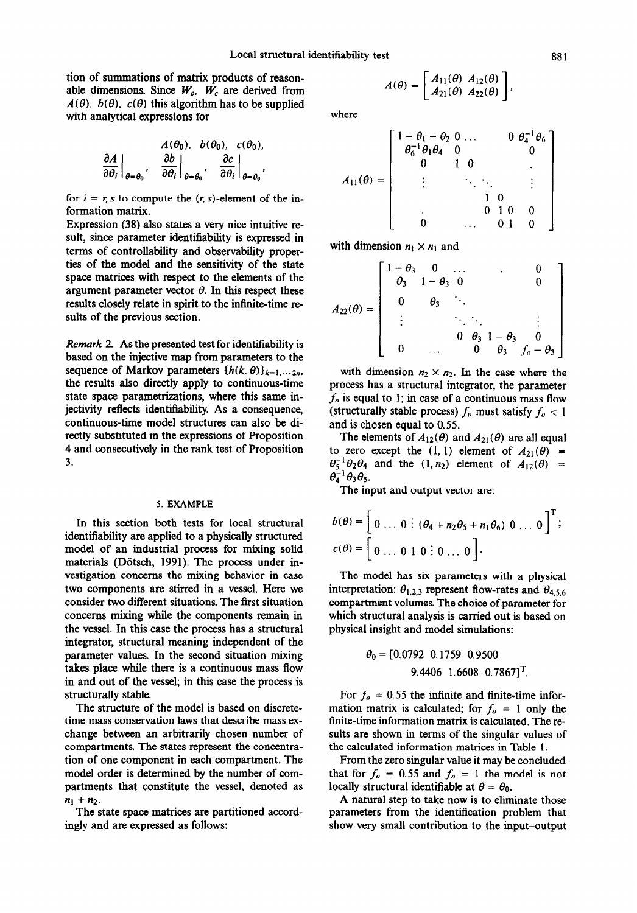tion of summations of matrix products of reasonable dimensions. Since  $W_o$ ,  $W_c$  are derived from  $A(\theta)$ ,  $b(\theta)$ ,  $c(\theta)$  this algorithm has to be supplied with analytical expressions for

$$
\left.\frac{\partial A}{\partial \theta_i}\right|_{\theta=\theta_0}, \left.\frac{\partial b}{\partial \theta_i}\right|_{\theta=\theta_0}, \left.\frac{\partial c}{\partial \theta_i}\right|_{\theta=\theta_0}, \left.\frac{\partial c}{\partial \theta_i}\right|_{\theta=\theta_0},
$$

for  $i = r, s$  to compute the  $(r, s)$ -element of the information matrix.

Expression (38) also states a very nice intuitive result, since parameter identifiability is expressed in terms of controllability and observability properties of the model and the sensitivity of the state space matrices with respect to the elements of the argument parameter vector  $\theta$ . In this respect these results closely relate in spirit to the infinite-time results of the previous section.

Remark 2. As the presented test for identifiability is based on the injective map from parameters to the sequence of Markov parameters  $\{h(k, \theta)\}_{k=1,\dots, 2n}$ , the results also directly apply to continuous-time state space parametrizations, where this same injectivity reflects identifiability. As a consequence, continuous-time model structures can also be directly substituted in the expressions of Proposition 4 and consecutively in the rank test of Proposition 3.

#### 5. EXAMPLE

In this section both tests for local structural identifiability are applied to a physically structured model of an industrial process for mixing solid materials (Dötsch, 1991). The process under investigation concerns the mixing behavior in case two components are stirred in a vessel. Here we consider two different situations. The first situation concerns mixing while the components remain in the vessel. In this case the process has a structural integrator, structural meaning independent of the parameter values. In the second situation mixing takes place while there is a continuous mass flow in and out of the vessel; in this case the process is structurally stable.

The structure of the model is based on discretetime mass conservation laws that describe mass exchange between an arbitrarily chosen number of compartments. The states represent the concentration of one component in each compartment. The model order is determined by the number of compartments that constitute the vessel, denoted as  $n_1 + n_2$ .

The state space matrices are partitioned accordingly and are expressed as follows:

$$
A(\theta) = \begin{bmatrix} A_{11}(\theta) & A_{12}(\theta) \\ A_{21}(\theta) & A_{22}(\theta) \end{bmatrix},
$$

where

$$
A_{11}(\theta) = \begin{bmatrix} 1 - \theta_1 - \theta_2 & 0 & \dots & 0 & \theta_4^{-1} \theta_6 \\ \theta_6^{-1} \theta_1 \theta_4 & 0 & & & 0 \\ 0 & 1 & 0 & & & \\ & \vdots & & \ddots & \ddots & & \vdots \\ & & & & 1 & 0 \\ & & & & & 0 & 10 & 0 \\ & & & & & & 0 & 1 \end{bmatrix}
$$

with dimension  $n_1 \times n_1$  and

$$
A_{22}(\theta) = \left[\begin{array}{ccccc} 1-\theta_3 & 0 & \dots & & 0 \\ \theta_3 & 1-\theta_3 & 0 & & 0 \\ 0 & \theta_3 & \ddots & & & \\ \vdots & & \ddots & \ddots & & \vdots \\ 0 & & 0 & \theta_3 & 1-\theta_3 & 0 \\ 0 & \dots & 0 & \theta_3 & f_o - \theta_3 \end{array}\right]
$$

with dimension  $n_2 \times n_2$ . In the case where the process has a structural integrator, the parameter  $f<sub>o</sub>$  is equal to 1; in case of a continuous mass flow (structurally stable process)  $f<sub>o</sub>$  must satisfy  $f<sub>o</sub> < 1$ and is chosen equal to 0.55.

The elements of  $A_{12}(\theta)$  and  $A_{21}(\theta)$  are all equal to zero except the (1, 1) element of  $A_{21}(\theta)$  =  $\theta_5^{-1} \theta_2 \theta_4$  and the (1, n<sub>2</sub>) element of  $A_{12}(\theta)$  =  $\theta_4^{-1}\theta_3\theta_5$ .

The input and output vector are:

$$
b(\theta) = \begin{bmatrix} 0 & \dots & 0 \end{bmatrix} (\theta_4 + n_2 \theta_5 + n_1 \theta_6) \quad 0 \dots & 0 \end{bmatrix}^T;
$$
  

$$
c(\theta) = \begin{bmatrix} 0 & \dots & 0 & 1 & 0 \end{bmatrix} \quad 0 \dots & 0 \end{bmatrix}.
$$

The model has six parameters with a physical interpretation:  $\theta_{1,2,3}$  represent flow-rates and  $\theta_{4,5,6}$ compartment volumes. The choice of parameter for which structural analysis is carried out is based on physical insight and model simulations:

$$
\theta_0 = [0.0792 \quad 0.1759 \quad 0.9500
$$
  
9.4406 \quad 1.6608 \quad 0.7867]^T.

For  $f<sub>o</sub> = 0.55$  the infinite and finite-time information matrix is calculated; for  $f<sub>o</sub> = 1$  only the finite-time information matrix is calculated. The results are shown in terms of the singular values of the calculated information matrices in Table 1.

From the zero singular value it may be concluded that for  $f<sub>o</sub> = 0.55$  and  $f<sub>o</sub> = 1$  the model is not locally structural identifiable at  $\theta = \theta_0$ .

A natural step to take now is to eliminate those parameters from the identification problem that show very small contribution to the input-output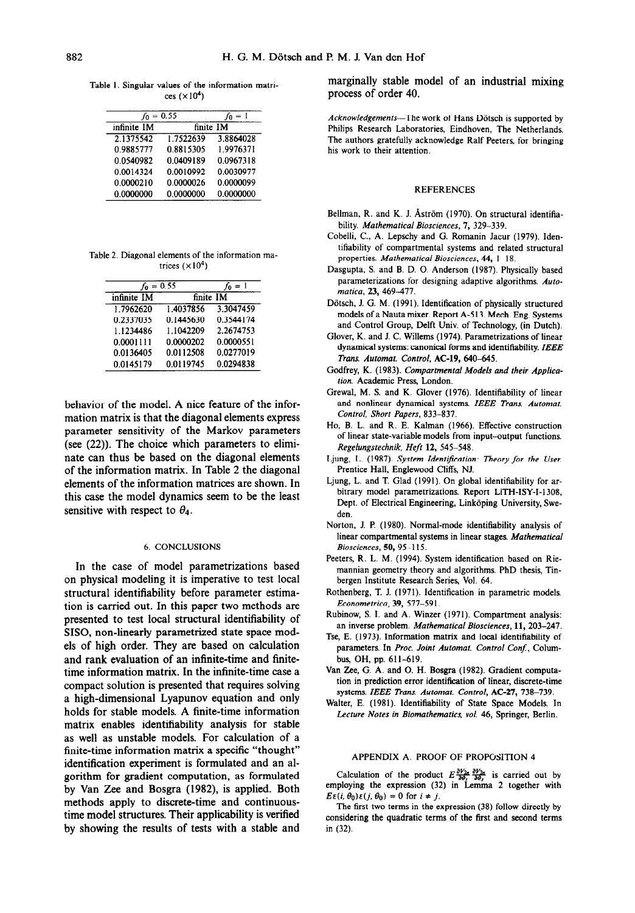Table I. Singular values of the information matrices  $(\times 10^4)$ 

| $f_0 = 0.55$ |           |           |
|--------------|-----------|-----------|
| infinite IM  | finite IM |           |
| 2.1375542    | 1.7522639 | 3.8864028 |
| 0.9885777    | 0.8815305 | 1.9976371 |
| 0.0540982    | 0.0409189 | 0.0967318 |
| 0.0014324    | 0.0010992 | 0.0030977 |
| 0.0000210    | 0.0000026 | 0.0000099 |
| 0.0000000    | 0.0000000 | 0.0000000 |

Table 2. Diagonal elements of the information matrices  $(\times 10^4)$ 

| $f_0 = 0.55$ |           |           |
|--------------|-----------|-----------|
| infinite IM  | finite IM |           |
| 1.7962620    | 1.4037856 | 3.3047459 |
| 0.2337035    | 0.1445630 | 0.3544174 |
| 1.1234486    | 1.1042209 | 2.2674753 |
| 0.0001111    | 0.0000202 | 0.0000551 |
| 0.0136405    | 0.0112508 | 0.0277019 |
| 0.0145179    | 0.0119745 | 0.0294838 |

behavior of the model. A nice feature of the information matrix is that the diagonal elements express parameter sensitivity of the Markov parameters (see (22)). The choice which parameters to eliminate can thus be based on the diagonal elements of the information matrix. In Table 2 the diagonal elements of the information matrices are shown. In this case the model dynamics seem to be the least sensitive with respect to  $\theta_4$ .

#### 6. CONCLUSIONS

In the case of model parametrizations based on physical modeling it is imperative to test local structural identifiability before parameter estimation is carried out. In this paper two methods are presented to test local structural identifiability of SISO, non-linearly parametrized state space models of high order. They are based on calculation and rank evaluation of an infinite-time and finitetime information matrix. In the infinite-time case a compact solution is presented that requires solving a high-dimensional Lyapunov equation and only holds for stable models. A finite-time information matrix enables identifiability analysis for stable as well as unstable models. For calculation of a finite-time information matrix a specific "thought" identification experiment is formulated and an algorithm for gradient computation, as formulated by Van Zee and Bosgra (1982), is applied. Both methods apply to discrete-time and continuoustime model structures. Their applicability is verified by showing the results of tests with a stable and

# marginally stable model of an industrial mixing process of order 40.

*Acknowledgements-The* work of Hans Dotsch is supported by Philips Research Laboratories, Eindhoven, The Netherlands, The authors gratefully acknowledge Ralf Peeters, for bringing his work to their attention.

### **REFERENCES**

- Bellman, R. and K. J. Åström (1970). On structural identifiability. *Mathematical Biosciences, I, 329-339.*
- Cobelli, C., A. Lepschy and G. Romanin Jacur (1979). Identifiability of compartmental systems and related structural properties. *Mathematical Biosciences*, 44, 1-18.
- Dasgupta, S. and B. D. 0. Anderson (1987). Physically based parameterizations for designing adaptive algorithms. *Automatica, 23, 469-477.*
- Dötsch, J. G. M. (1991). Identification of physically structured models of a Nauta mixer. Report A-513. Mech. Eng. Systems and Control Group, Delft Univ. of Technology, (in Dutch).
- Glover, K. and J. C. Willems (1974). Parametrizations of linear dynamical systems: canonical forms and identifiability. *IEEE Trans. Automat. Control, AC-19, 640-645.*
- Godfrey, K. (1983). *Compartmental Models and their Application.* Academic Press, London.
- Grewal, M. S. and K. Glover (1976). Identifiability of linear and nonlinear dynamical systems. *IEEE Trans. Automat. Control, Short Papers, 833-837.*
- Ho, B. L. and R. E. Kalman (1966). Effective construction of linear state-variable models from input-output functions. *Regelungstechnik, Heft 12, 545-548.*
- Ljung, L. (1987). *System Identification: Theory for the User.*  Prentice Hall, Englewood Cliffs, NJ.
- Ljung, L. and T. Glad (1991). On global identifiability for arbitrary model parametrizations. Report LiTH-ISY-I-1308, Dept. of Electrical Engineering, Linköping University, Sweden.
- Norton, J. P (1980). Normal-mode identifiability analysis of linear compartmental systems in linear stages. *Mathematical Biosciences, 50, 95-l* 15.
- Peeters, R. L. M. (1994). System identification based on Riemannian geometry theory and algorithms. PhD thesis, Tinbergen Institute Research Series, Vol. 64.
- Rothenberg, T. J. (1971). Identification in parametric models. *Econometrica, 39, 577-591,*
- Rubinow, S. I. and A. Winzer (1971). Compartment analysis: an inverse problem. *Mathematical Biosciences,* 11, 203-247.
- Tse, E. (1973). Information matrix and local identifiability of parameters. In *Proc. Joint Automat. Control Conf, Colum*bus, OH, pp. 611-619.
- Van Zee, G. A. and 0. H. Bosgra (1982). Gradient computation in prediction error identification of linear, discrete-time systems. *IEEE Trans. Automat. Control, AC-21, 738-739.*
- Walter, E. (1981). Identifiability of State Space Models. In *Lecture Notes in Biomathematics, vol. 46,* Springer, Berlin.

## APPENDIX A. PROOF OF PROPOSITION 4

Calculation of the product  $E \frac{\partial V_{2n}}{\partial \theta} \frac{\partial V_{2n}}{\partial \theta}$  is carried out by employing the expression (32) in Lemma 2 together with  $E\varepsilon(i, \theta_0)\varepsilon(j, \theta_0) = 0$  for  $i \neq j$ .

*The* first two terms in the expression (38) follow directly by considering the quadratic terms of the first and second terms in (32).